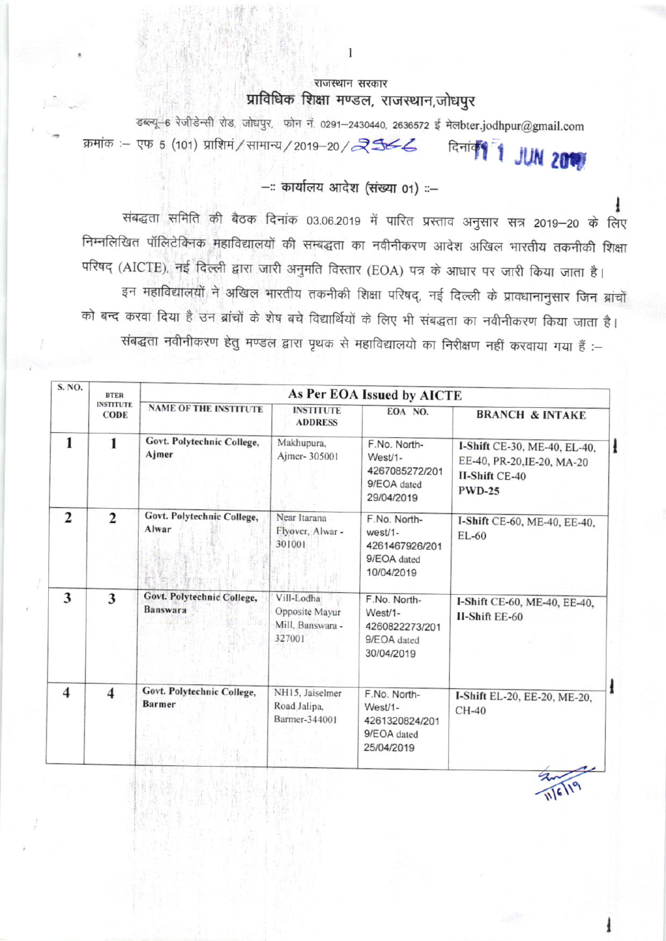## राजस्थान सरकार प्राविधिक शिक्षा मण्डल, राजस्थान,जोधपुर

डब्ल्यू-6 रेजीडेन्सी रोड, जोधपुर, फोन नं. 0291-2430440, 2636572 ई मेलbter.jodhpur@gmail.com क्रमांक :- एफ 5 (101) प्राशिमं / सामान्य / 2019-20 / रे उस्ट Remited 1 JUN 2019

## --: कार्यालय आदेश (संख्या 01) ::-

संबद्धता समिति की बैठक दिनांक 03.06.2019 में पारित प्रस्ताव अनुसार सत्र 2019-20 के लिए निम्नलिखित पॉलिटेक्निक महाविद्यालयों की सम्बद्धता का नवीनीकरण आदेश अखिल भारतीय तकनीकी शिक्षा परिषद (AICTE), नई दिल्ली द्वारा जारी अनुमति विस्तार (EOA) पत्र के आधार पर जारी किया जाता है। इन महाविद्यालयों ने अखिल भारतीय तकनीकी शिक्षा परिषद्, नई दिल्ली के प्रावधानानुसार जिन ब्रांचों को बन्द करवा दिया है उन ब्रांचों के शेष बचे विद्यार्थियों के लिए भी संबद्धता का नवीनीकरण किया जाता है। संबद्धता नवीनीकरण हेतु मण्डल द्वारा पृथक से महाविद्यालयो का निरीक्षण नहीं करवाया गया हैं :-

| S. NO.                  | <b>BTER</b><br><b>INSTITUTE</b><br><b>CODE</b> | As Per EOA Issued by AICTE                    |                                                            |                                                                          |                                                                                                      |  |
|-------------------------|------------------------------------------------|-----------------------------------------------|------------------------------------------------------------|--------------------------------------------------------------------------|------------------------------------------------------------------------------------------------------|--|
|                         |                                                | <b>NAME OF THE INSTITUTE</b>                  | <b>INSTITUTE</b><br><b>ADDRESS</b>                         | EOA NO.                                                                  | <b>BRANCH &amp; INTAKE</b>                                                                           |  |
| 1                       | 1                                              | Govt. Polytechnic College,<br>Ajmer           | Makhupura,<br>Ajmer- 305001                                | F.No. North-<br>West/1-<br>4267085272/201<br>9/EOA dated<br>29/04/2019   | I-Shift CE-30, ME-40, EL-40,<br>EE-40, PR-20, IE-20, MA-20<br><b>II-Shift CE-40</b><br><b>PWD-25</b> |  |
| $\overline{2}$          | $\overline{2}$                                 | Govt. Polytechnic College,<br>Alwar           | Near Itarana<br>Flyover, Alwar -<br>301001                 | F.No. North-<br>$west/1-$<br>4261467926/201<br>9/EOA dated<br>10/04/2019 | I-Shift CE-60, ME-40, EE-40,<br>$EL-60$                                                              |  |
| 3                       | 3                                              | Govt. Polytechnic College,<br><b>Banswara</b> | Vill-Lodha<br>Opposite Mayur<br>Mill. Banswara -<br>327001 | F.No. North-<br>West/1-<br>4260822273/201<br>9/EOA dated<br>30/04/2019   | I-Shift CE-60, ME-40, EE-40,<br><b>II-Shift EE-60</b>                                                |  |
| $\overline{\mathbf{4}}$ | 4                                              | Govt. Polytechnic College,<br><b>Barmer</b>   | NH15, Jaiselmer<br>Road Jalipa,<br>Barmer-344001           | F.No. North-<br>West/1-<br>4261320824/201<br>9/EOA dated<br>25/04/2019   | I-Shift EL-20, EE-20, ME-20,<br>$CH-40$                                                              |  |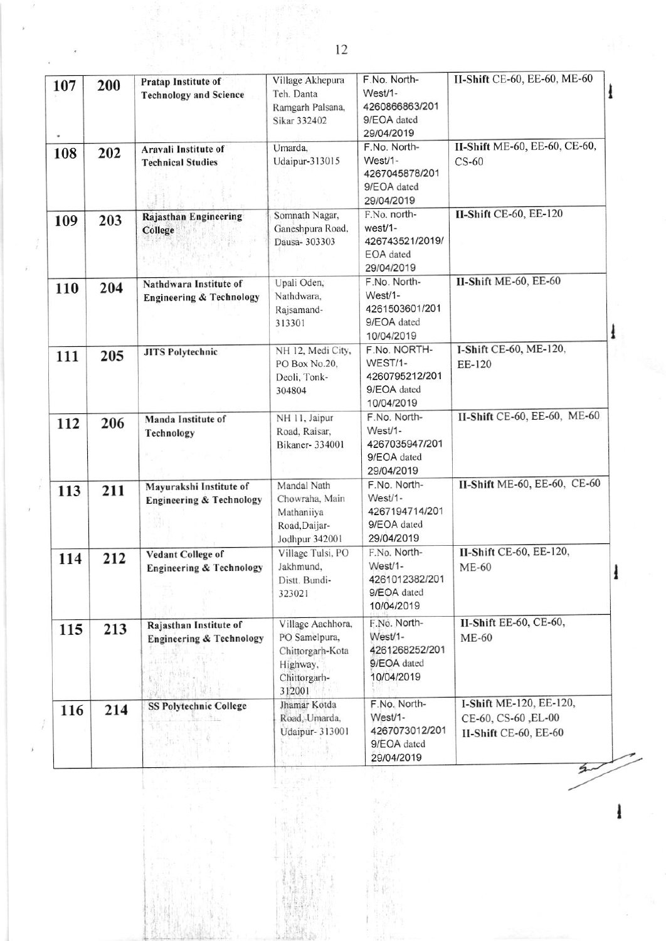| 107 | 200 | Pratap Institute of<br><b>Technology and Science</b>                                         | Village Akhepura<br>Teh. Danta<br>Ramgarh Palsana,<br>Sikar 332402                           | F.No. North-<br>West/1-<br>4260866863/201<br>9/EOA dated<br>29/04/2019 | II-Shift CE-60, EE-60, ME-60                                            | ł |
|-----|-----|----------------------------------------------------------------------------------------------|----------------------------------------------------------------------------------------------|------------------------------------------------------------------------|-------------------------------------------------------------------------|---|
| 108 | 202 | Aravali Institute of<br><b>Technical Studies</b>                                             | Umarda,<br>Udaipur-313015                                                                    | F.No. North-<br>West/1-<br>4267045878/201<br>9/EOA dated<br>29/04/2019 | II-Shift ME-60, EE-60, CE-60,<br>$CS-60$                                |   |
| 109 | 203 | Rajasthan Engineering<br>College                                                             | Somnath Nagar,<br>Ganeshpura Road,<br>Dausa- 303303                                          | F.No. north-<br>west/1-<br>426743521/2019/<br>EOA dated<br>29/04/2019  | II-Shift CE-60, EE-120                                                  |   |
| 110 | 204 | Nathdwara Institute of<br><b>Engineering &amp; Technology</b>                                | Upali Oden,<br>Nathdwara,<br>Rajsamand-<br>313301                                            | F.No. North-<br>West/1-<br>4261503601/201<br>9/EOA dated<br>10/04/2019 | II-Shift ME-60, EE-60                                                   | ł |
| 111 | 205 | <b>JITS Polytechnic</b>                                                                      | NH 12, Medi City,<br>PO Box No.20,<br>Deoli, Tonk-<br>304804                                 | F.No. NORTH-<br>WEST/1-<br>4260795212/201<br>9/EOA dated<br>10/04/2019 | I-Shift CE-60, ME-120,<br>EE-120                                        |   |
| 112 | 206 | Manda Institute of<br>Technology                                                             | NH 11, Jaipur<br>Road, Raisar,<br>Bikaner- 334001                                            | F.No. North-<br>West/1-<br>4267035947/201<br>9/EOA dated<br>29/04/2019 | II-Shift CE-60, EE-60, ME-60                                            |   |
| 113 | 211 | Mayurakshi Institute of<br><b>Engineering &amp; Technology</b>                               | Mandal Nath<br>Chowraha, Main<br>Mathaniiya<br>Road, Daijar-<br>Jodhpur 342001               | F.No. North-<br>West/1-<br>4267194714/201<br>9/EOA dated<br>29/04/2019 | II-Shift ME-60, EE-60, CE-60                                            |   |
| 114 | 212 | <b>Vedant College of</b><br><b>Engineering &amp; Technology</b>                              | Village Tulsi, PO<br>Jakhmund,<br>Distt. Bundi-<br>323021                                    | F.No. North-<br>West/1-<br>4261012382/201<br>9/EOA dated<br>10/04/2019 | II-Shift CE-60, EE-120,<br>ME-60                                        | 1 |
| 115 | 213 | Rajasthan Institute of<br><b>Engineering &amp; Technology</b><br><sup>3</sup> ខ្⊑ែកុំ ធំ£ក ∫ | Village Aachhora,<br>PO Samelpura,<br>Chittorgarh-Kota<br>Highway,<br>Chittorgarh-<br>312001 | F.No. North-<br>West/1-<br>4261268252/201<br>9/EOA dated<br>10/04/2019 | II-Shift EE-60, CE-60,<br><b>ME-60</b>                                  |   |
| 116 | 214 | <b>SS Polytechnic College</b>                                                                | Jhamar Kotda<br>Road, Umarda,<br><b>Udaipur-313001</b>                                       | F.No. North-<br>West/1-<br>4267073012/201<br>9/EOA dated<br>29/04/2019 | I-Shift ME-120, EE-120,<br>CE-60, CS-60, EL-00<br>II-Shift CE-60, EE-60 |   |

ł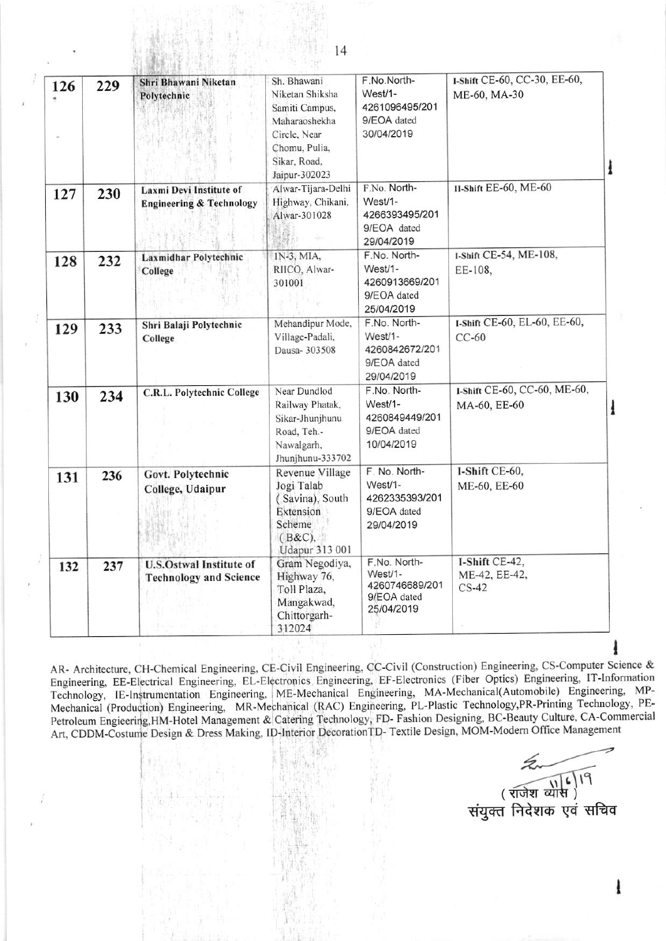| 126 | 229 | Shri Bhawani Niketan<br>Polytechnic                             | Sh. Bhawani<br>Niketan Shiksha<br>Samiti Campus,<br>Maharaoshekha<br>Circle, Near<br>Chomu, Pulia,<br>Sikar, Road,<br>Jaipur-302023 | F.No.North-<br>West/1-<br>4261096495/201<br>9/EOA dated<br>30/04/2019     | 1-Shift CE-60, CC-30, EE-60,<br>ME-60, MA-30 |
|-----|-----|-----------------------------------------------------------------|-------------------------------------------------------------------------------------------------------------------------------------|---------------------------------------------------------------------------|----------------------------------------------|
| 127 | 230 | Laxmi Devi Institute of<br><b>Engineering &amp; Technology</b>  | Alwar-Tijara-Delhi<br>Highway, Chikani,<br>Alwar-301028<br>S.                                                                       | F.No. North-<br>West/1-<br>4266393495/201<br>9/EOA dated<br>29/04/2019    | II-Shift EE-60, ME-60                        |
| 128 | 232 | Laxmidhar Polytechnic<br>College                                | IN-3, MIA,<br>RIICO, Alwar-<br>301001                                                                                               | F.No. North-<br>West/1-<br>4260913669/201<br>9/EOA dated<br>25/04/2019    | I-Shift CE-54, ME-108,<br>EE-108,            |
| 129 | 233 | Shri Balaji Polytechnic<br>College                              | Mehandipur Mode,<br>Village-Padali,<br>Dausa- 303508                                                                                | F.No. North-<br>West/1-<br>4260842672/201<br>9/EOA dated<br>29/04/2019    | I-Shift CE-60, EL-60, EE-60,<br>$CC-60$      |
| 130 | 234 | C.R.L. Polytechnic College                                      | Near Dundlod<br>Railway Phatak,<br>Sikar-Jhunjhunu<br>Road, Teh.-<br>Nawalgarh,<br>Jhunjhunu-333702                                 | F.No. North-<br>West/1-<br>4260849449/201<br>9/EOA dated<br>10/04/2019    | I-Shift CE-60, CC-60, ME-60,<br>MA-60, EE-60 |
| 131 | 236 | Govt. Polytechnic<br>College, Udaipur                           | Revenue Village<br>Jogi Talab<br>(Savina), South<br>Extension<br>Scheme<br>$(B&C)$ ,<br>Udapur 313 001                              | F. No. North-<br>West/1-<br>4262335393/201<br>9/EOA dated<br>29/04/2019   | I-Shift CE-60,<br>ME-60, EE-60               |
| 132 | 237 | <b>U.S.Ostwal Institute of</b><br><b>Technology and Science</b> | Gram Negodiya,<br>Highway 76,<br>Toll Plaza,<br>Mangakwad,<br>Chittorgarh-<br>312024                                                | F.No. North-<br>$West/1 -$<br>4260746689/201<br>9/EOA dated<br>25/04/2019 | I-Shift CE-42,<br>ME-42, EE-42,<br>$CS-42$   |

AR- Architecture, CH-Chemical Engineering, CE-Civil Engineering, CC-Civil (Construction) Engineering, CS-Computer Science & Engineering, EE-Electrical Engineering, EL-Electronics Engineering, EF-Electronics (Fiber Optics) Engineering, IT-Information Technology, IE-Instrumentation Engineering, ME-Mechanical Engineering, MA-Mechanical(Automobile) Engineering, MP-Mechanical (Production) Engineering, MR-Mechanical (RAC) Engineering, PL-Plastic Technology, PR-Printing Technology, PE-Petroleum Engieering, HM-Hotel Management & Catering Technology, FD- Fashion Designing, BC-Beauty Culture, CA-Commercial Art, CDDM-Costume Design & Dress Making, ID-Interior Decoration TD- Textile Design, MOM-Modern Office Management

संयुक्त निदेशक एवं सचिव<br>संयुक्त निदेशक एवं सचिव

ł